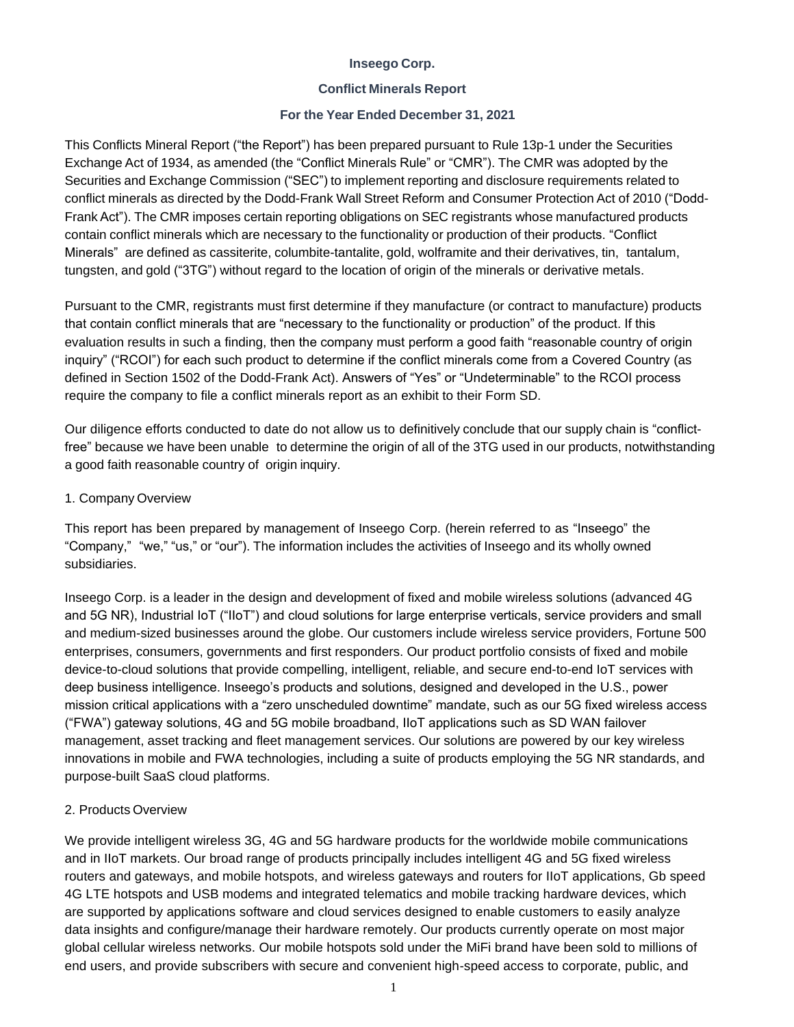#### **Inseego Corp.**

#### **Conflict Minerals Report**

#### **For the Year Ended December 31, 2021**

This Conflicts Mineral Report ("the Report") has been prepared pursuant to Rule 13p-1 under the Securities Exchange Act of 1934, as amended (the "Conflict Minerals Rule" or "CMR"). The CMR was adopted by the Securities and Exchange Commission ("SEC") to implement reporting and disclosure requirements related to conflict minerals as directed by the Dodd-Frank Wall Street Reform and Consumer Protection Act of 2010 ("Dodd-Frank Act"). The CMR imposes certain reporting obligations on SEC registrants whose manufactured products contain conflict minerals which are necessary to the functionality or production of their products. "Conflict Minerals" are defined as cassiterite, columbite-tantalite, gold, wolframite and their derivatives, tin, tantalum, tungsten, and gold ("3TG") without regard to the location of origin of the minerals or derivative metals.

Pursuant to the CMR, registrants must first determine if they manufacture (or contract to manufacture) products that contain conflict minerals that are "necessary to the functionality or production" of the product. If this evaluation results in such a finding, then the company must perform a good faith "reasonable country of origin inquiry" ("RCOI") for each such product to determine if the conflict minerals come from a Covered Country (as defined in Section 1502 of the Dodd-Frank Act). Answers of "Yes" or "Undeterminable" to the RCOI process require the company to file a conflict minerals report as an exhibit to their Form SD.

Our diligence efforts conducted to date do not allow us to definitively conclude that our supply chain is "conflictfree" because we have been unable to determine the origin of all of the 3TG used in our products, notwithstanding a good faith reasonable country of origin inquiry.

#### 1. Company Overview

This report has been prepared by management of Inseego Corp. (herein referred to as "Inseego" the "Company," "we," "us," or "our"). The information includes the activities of Inseego and its wholly owned subsidiaries.

Inseego Corp. is a leader in the design and development of fixed and mobile wireless solutions (advanced 4G and 5G NR), Industrial IoT ("IIoT") and cloud solutions for large enterprise verticals, service providers and small and medium-sized businesses around the globe. Our customers include wireless service providers, Fortune 500 enterprises, consumers, governments and first responders. Our product portfolio consists of fixed and mobile device-to-cloud solutions that provide compelling, intelligent, reliable, and secure end-to-end IoT services with deep business intelligence. Inseego's products and solutions, designed and developed in the U.S., power mission critical applications with a "zero unscheduled downtime" mandate, such as our 5G fixed wireless access ("FWA") gateway solutions, 4G and 5G mobile broadband, IIoT applications such as SD WAN failover management, asset tracking and fleet management services. Our solutions are powered by our key wireless innovations in mobile and FWA technologies, including a suite of products employing the 5G NR standards, and purpose-built SaaS cloud platforms.

#### 2. Products Overview

We provide intelligent wireless 3G, 4G and 5G hardware products for the worldwide mobile communications and in IIoT markets. Our broad range of products principally includes intelligent 4G and 5G fixed wireless routers and gateways, and mobile hotspots, and wireless gateways and routers for IIoT applications, Gb speed 4G LTE hotspots and USB modems and integrated telematics and mobile tracking hardware devices, which are supported by applications software and cloud services designed to enable customers to easily analyze data insights and configure/manage their hardware remotely. Our products currently operate on most major global cellular wireless networks. Our mobile hotspots sold under the MiFi brand have been sold to millions of end users, and provide subscribers with secure and convenient high-speed access to corporate, public, and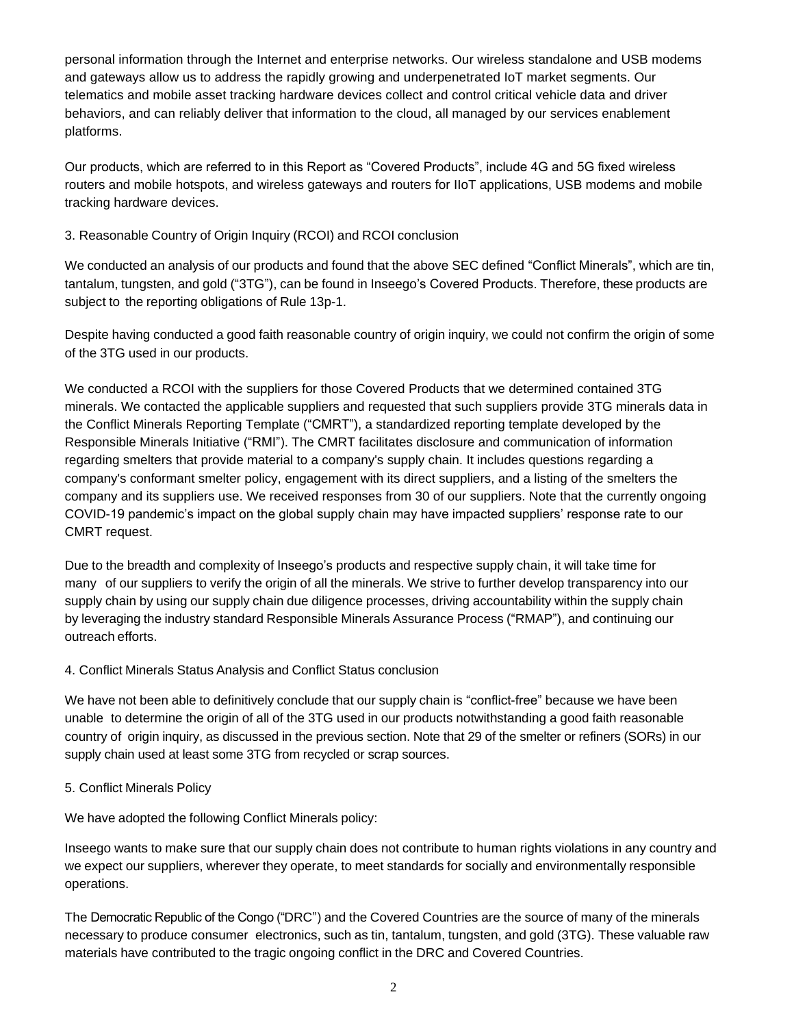personal information through the Internet and enterprise networks. Our wireless standalone and USB modems and gateways allow us to address the rapidly growing and underpenetrated IoT market segments. Our telematics and mobile asset tracking hardware devices collect and control critical vehicle data and driver behaviors, and can reliably deliver that information to the cloud, all managed by our services enablement platforms.

Our products, which are referred to in this Report as "Covered Products", include 4G and 5G fixed wireless routers and mobile hotspots, and wireless gateways and routers for IIoT applications, USB modems and mobile tracking hardware devices.

## 3. Reasonable Country of Origin Inquiry (RCOI) and RCOI conclusion

We conducted an analysis of our products and found that the above SEC defined "Conflict Minerals", which are tin, tantalum, tungsten, and gold ("3TG"), can be found in Inseego's Covered Products. Therefore, these products are subject to the reporting obligations of Rule 13p-1.

Despite having conducted a good faith reasonable country of origin inquiry, we could not confirm the origin of some of the 3TG used in our products.

We conducted a RCOI with the suppliers for those Covered Products that we determined contained 3TG minerals. We contacted the applicable suppliers and requested that such suppliers provide 3TG minerals data in the Conflict Minerals Reporting Template ("CMRT"), a standardized reporting template developed by the Responsible Minerals Initiative ("RMI"). The CMRT facilitates disclosure and communication of information regarding smelters that provide material to a company's supply chain. It includes questions regarding a company's conformant smelter policy, engagement with its direct suppliers, and a listing of the smelters the company and its suppliers use. We received responses from 30 of our suppliers. Note that the currently ongoing COVID-19 pandemic's impact on the global supply chain may have impacted suppliers' response rate to our CMRT request.

Due to the breadth and complexity of Inseego's products and respective supply chain, it will take time for many of our suppliers to verify the origin of all the minerals. We strive to further develop transparency into our supply chain by using our supply chain due diligence processes, driving accountability within the supply chain by leveraging the industry standard Responsible Minerals Assurance Process ("RMAP"), and continuing our outreach efforts.

#### 4. Conflict Minerals Status Analysis and Conflict Status conclusion

We have not been able to definitively conclude that our supply chain is "conflict-free" because we have been unable to determine the origin of all of the 3TG used in our products notwithstanding a good faith reasonable country of origin inquiry, as discussed in the previous section. Note that 29 of the smelter or refiners (SORs) in our supply chain used at least some 3TG from recycled or scrap sources.

5. Conflict Minerals Policy

We have adopted the following Conflict Minerals policy:

Inseego wants to make sure that our supply chain does not contribute to human rights violations in any country and we expect our suppliers, wherever they operate, to meet standards for socially and environmentally responsible operations.

The Democratic Republic of the Congo ("DRC") and the Covered Countries are the source of many of the minerals necessary to produce consumer electronics, such as tin, tantalum, tungsten, and gold (3TG). These valuable raw materials have contributed to the tragic ongoing conflict in the DRC and Covered Countries.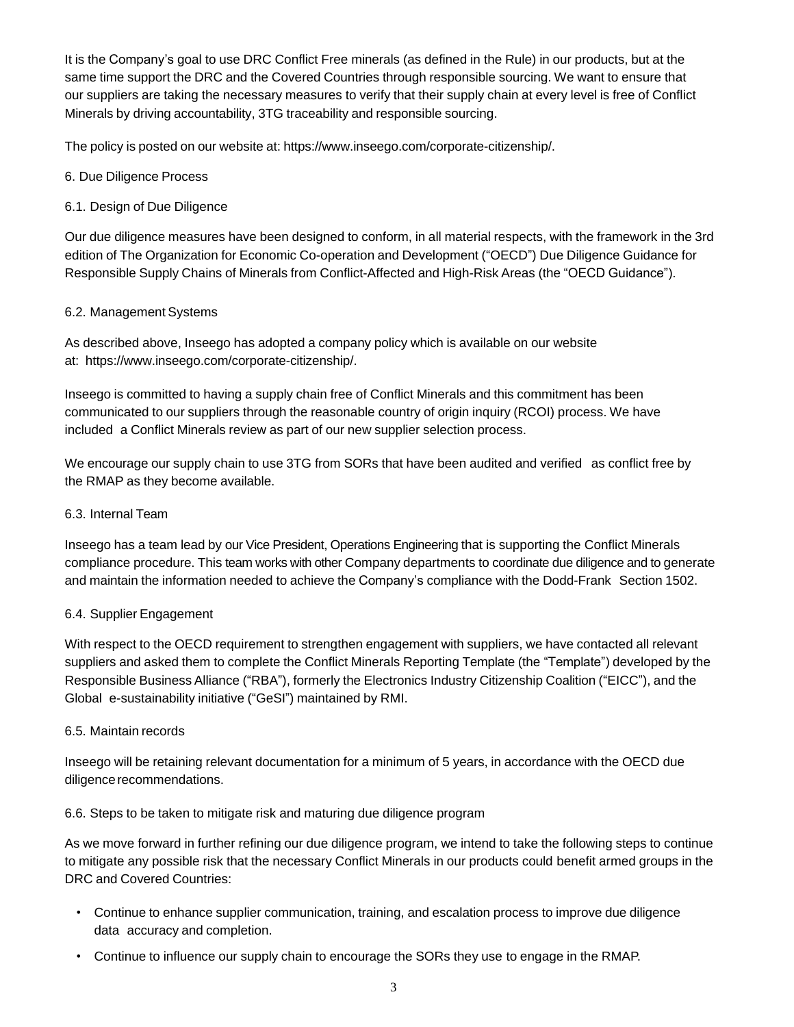It is the Company's goal to use DRC Conflict Free minerals (as defined in the Rule) in our products, but at the same time support the DRC and the Covered Countries through responsible sourcing. We want to ensure that our suppliers are taking the necessary measures to verify that their supply chain at every level is free of Conflict Minerals by driving accountability, 3TG traceability and responsible sourcing.

The policy is posted on our website at: https:/[/www.inseego.com/corporate-citizenship/.](http://www.inseego.com/corporate-citizenship/)

#### 6. Due Diligence Process

### 6.1. Design of Due Diligence

Our due diligence measures have been designed to conform, in all material respects, with the framework in the 3rd edition of The Organization for Economic Co-operation and Development ("OECD") Due Diligence Guidance for Responsible Supply Chains of Minerals from Conflict-Affected and High-Risk Areas (the "OECD Guidance").

## 6.2. Management Systems

As described above, Inseego has adopted a company policy which is available on our website at: https:/[/www.inseego.com/corporate-citizenship/.](http://www.inseego.com/corporate-citizenship/)

Inseego is committed to having a supply chain free of Conflict Minerals and this commitment has been communicated to our suppliers through the reasonable country of origin inquiry (RCOI) process. We have included a Conflict Minerals review as part of our new supplier selection process.

We encourage our supply chain to use 3TG from SORs that have been audited and verified as conflict free by the RMAP as they become available.

### 6.3. Internal Team

Inseego has a team lead by our Vice President, Operations Engineering that is supporting the Conflict Minerals compliance procedure. This team works with other Company departments to coordinate due diligence and to generate and maintain the information needed to achieve the Company's compliance with the Dodd-Frank Section 1502.

#### 6.4. Supplier Engagement

With respect to the OECD requirement to strengthen engagement with suppliers, we have contacted all relevant suppliers and asked them to complete the Conflict Minerals Reporting Template (the "Template") developed by the Responsible Business Alliance ("RBA"), formerly the Electronics Industry Citizenship Coalition ("EICC"), and the Global e-sustainability initiative ("GeSI") maintained by RMI.

#### 6.5. Maintain records

Inseego will be retaining relevant documentation for a minimum of 5 years, in accordance with the OECD due diligence recommendations.

#### 6.6. Steps to be taken to mitigate risk and maturing due diligence program

As we move forward in further refining our due diligence program, we intend to take the following steps to continue to mitigate any possible risk that the necessary Conflict Minerals in our products could benefit armed groups in the DRC and Covered Countries:

- Continue to enhance supplier communication, training, and escalation process to improve due diligence data accuracy and completion.
- Continue to influence our supply chain to encourage the SORs they use to engage in the RMAP.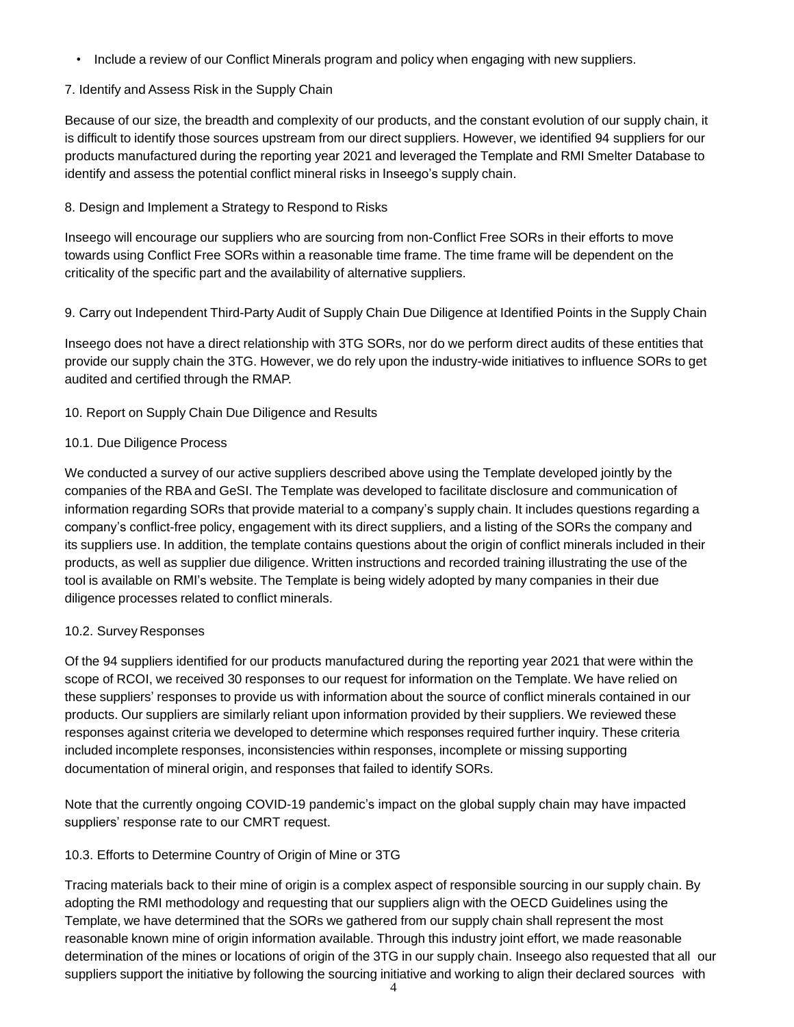• Include a review of our Conflict Minerals program and policy when engaging with new suppliers.

## 7. Identify and Assess Risk in the Supply Chain

Because of our size, the breadth and complexity of our products, and the constant evolution of our supply chain, it is difficult to identify those sources upstream from our direct suppliers. However, we identified 94 suppliers for our products manufactured during the reporting year 2021 and leveraged the Template and RMI Smelter Database to identify and assess the potential conflict mineral risks in Inseego's supply chain.

## 8. Design and Implement a Strategy to Respond to Risks

Inseego will encourage our suppliers who are sourcing from non-Conflict Free SORs in their efforts to move towards using Conflict Free SORs within a reasonable time frame. The time frame will be dependent on the criticality of the specific part and the availability of alternative suppliers.

#### 9. Carry out Independent Third-Party Audit of Supply Chain Due Diligence at Identified Points in the Supply Chain

Inseego does not have a direct relationship with 3TG SORs, nor do we perform direct audits of these entities that provide our supply chain the 3TG. However, we do rely upon the industry-wide initiatives to influence SORs to get audited and certified through the RMAP.

## 10. Report on Supply Chain Due Diligence and Results

## 10.1. Due Diligence Process

We conducted a survey of our active suppliers described above using the Template developed jointly by the companies of the RBA and GeSI. The Template was developed to facilitate disclosure and communication of information regarding SORs that provide material to a company's supply chain. It includes questions regarding a company's conflict-free policy, engagement with its direct suppliers, and a listing of the SORs the company and its suppliers use. In addition, the template contains questions about the origin of conflict minerals included in their products, as well as supplier due diligence. Written instructions and recorded training illustrating the use of the tool is available on RMI's website. The Template is being widely adopted by many companies in their due diligence processes related to conflict minerals.

#### 10.2. Survey Responses

Of the 94 suppliers identified for our products manufactured during the reporting year 2021 that were within the scope of RCOI, we received 30 responses to our request for information on the Template. We have relied on these suppliers' responses to provide us with information about the source of conflict minerals contained in our products. Our suppliers are similarly reliant upon information provided by their suppliers. We reviewed these responses against criteria we developed to determine which responses required further inquiry. These criteria included incomplete responses, inconsistencies within responses, incomplete or missing supporting documentation of mineral origin, and responses that failed to identify SORs.

Note that the currently ongoing COVID-19 pandemic's impact on the global supply chain may have impacted suppliers' response rate to our CMRT request.

## 10.3. Efforts to Determine Country of Origin of Mine or 3TG

Tracing materials back to their mine of origin is a complex aspect of responsible sourcing in our supply chain. By adopting the RMI methodology and requesting that our suppliers align with the OECD Guidelines using the Template, we have determined that the SORs we gathered from our supply chain shall represent the most reasonable known mine of origin information available. Through this industry joint effort, we made reasonable determination of the mines or locations of origin of the 3TG in our supply chain. Inseego also requested that all our suppliers support the initiative by following the sourcing initiative and working to align their declared sources with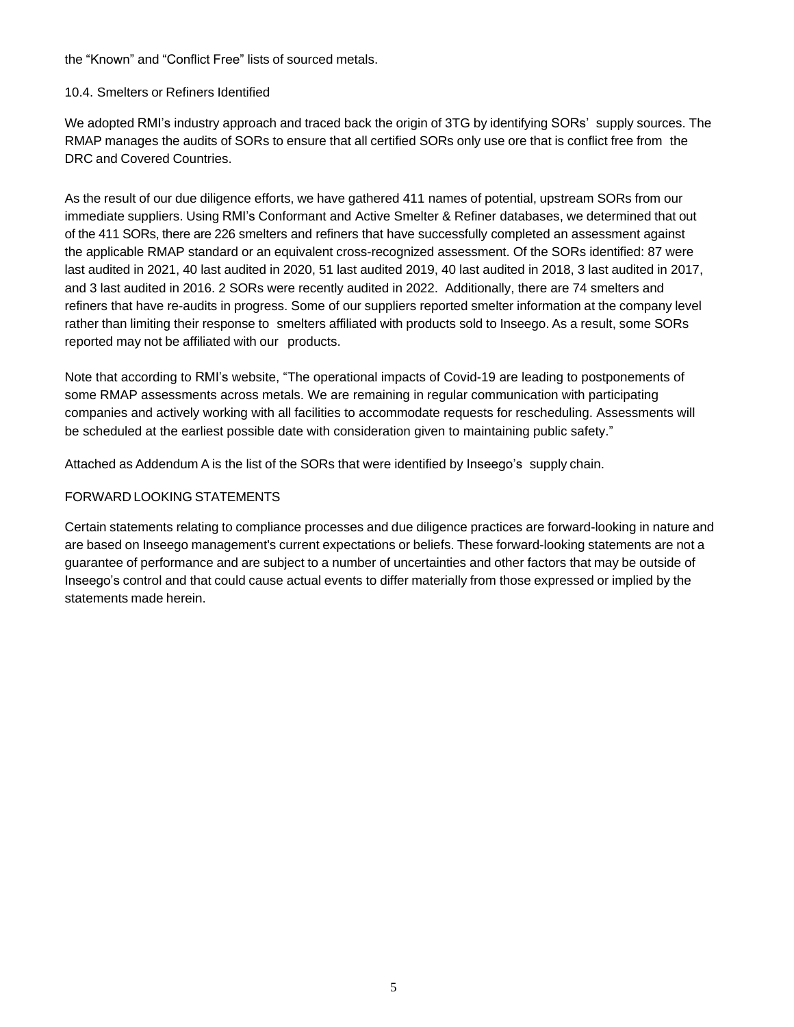the "Known" and "Conflict Free" lists of sourced metals.

#### 10.4. Smelters or Refiners Identified

We adopted RMI's industry approach and traced back the origin of 3TG by identifying SORs' supply sources. The RMAP manages the audits of SORs to ensure that all certified SORs only use ore that is conflict free from the DRC and Covered Countries.

As the result of our due diligence efforts, we have gathered 411 names of potential, upstream SORs from our immediate suppliers. Using RMI's Conformant and Active Smelter & Refiner databases, we determined that out of the 411 SORs, there are 226 smelters and refiners that have successfully completed an assessment against the applicable RMAP standard or an equivalent cross-recognized assessment. Of the SORs identified: 87 were last audited in 2021, 40 last audited in 2020, 51 last audited 2019, 40 last audited in 2018, 3 last audited in 2017, and 3 last audited in 2016. 2 SORs were recently audited in 2022. Additionally, there are 74 smelters and refiners that have re-audits in progress. Some of our suppliers reported smelter information at the company level rather than limiting their response to smelters affiliated with products sold to Inseego. As a result, some SORs reported may not be affiliated with our products.

Note that according to RMI's website, "The operational impacts of Covid-19 are leading to postponements of some RMAP assessments across metals. We are remaining in regular communication with participating companies and actively working with all facilities to accommodate requests for rescheduling. Assessments will be scheduled at the earliest possible date with consideration given to maintaining public safety."

Attached as Addendum A is the list of the SORs that were identified by Inseego's supply chain.

## FORWARD LOOKING STATEMENTS

Certain statements relating to compliance processes and due diligence practices are forward-looking in nature and are based on Inseego management's current expectations or beliefs. These forward-looking statements are not a guarantee of performance and are subject to a number of uncertainties and other factors that may be outside of Inseego's control and that could cause actual events to differ materially from those expressed or implied by the statements made herein.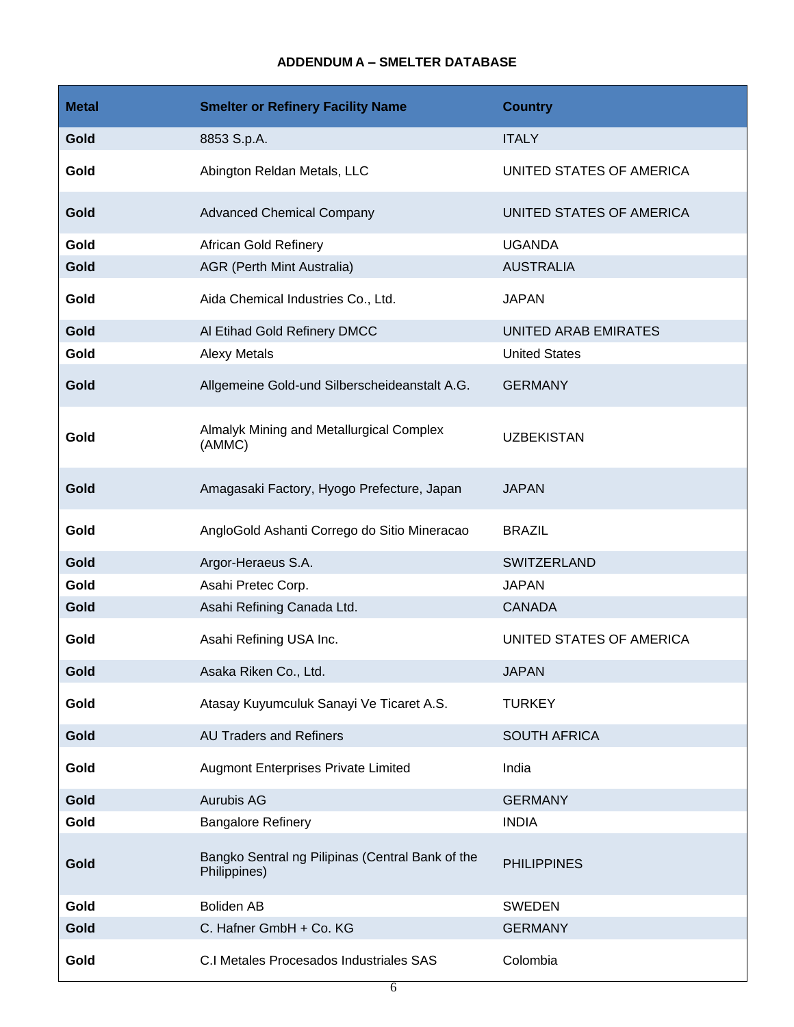# **ADDENDUM A – SMELTER DATABASE**

| <b>Metal</b> | <b>Smelter or Refinery Facility Name</b>                         | <b>Country</b>           |
|--------------|------------------------------------------------------------------|--------------------------|
| Gold         | 8853 S.p.A.                                                      | <b>ITALY</b>             |
| Gold         | Abington Reldan Metals, LLC                                      | UNITED STATES OF AMERICA |
| Gold         | <b>Advanced Chemical Company</b>                                 | UNITED STATES OF AMERICA |
| Gold         | African Gold Refinery                                            | <b>UGANDA</b>            |
| Gold         | <b>AGR (Perth Mint Australia)</b>                                | <b>AUSTRALIA</b>         |
| Gold         | Aida Chemical Industries Co., Ltd.                               | <b>JAPAN</b>             |
| Gold         | Al Etihad Gold Refinery DMCC                                     | UNITED ARAB EMIRATES     |
| Gold         | <b>Alexy Metals</b>                                              | <b>United States</b>     |
| Gold         | Allgemeine Gold-und Silberscheideanstalt A.G.                    | <b>GERMANY</b>           |
| Gold         | Almalyk Mining and Metallurgical Complex<br>(AMMC)               | <b>UZBEKISTAN</b>        |
| Gold         | Amagasaki Factory, Hyogo Prefecture, Japan                       | <b>JAPAN</b>             |
| Gold         | AngloGold Ashanti Corrego do Sitio Mineracao                     | <b>BRAZIL</b>            |
| Gold         | Argor-Heraeus S.A.                                               | <b>SWITZERLAND</b>       |
| Gold         | Asahi Pretec Corp.                                               | <b>JAPAN</b>             |
| Gold         | Asahi Refining Canada Ltd.                                       | <b>CANADA</b>            |
| Gold         | Asahi Refining USA Inc.                                          | UNITED STATES OF AMERICA |
| Gold         | Asaka Riken Co., Ltd.                                            | <b>JAPAN</b>             |
| Gold         | Atasay Kuyumculuk Sanayi Ve Ticaret A.S.                         | <b>TURKEY</b>            |
| Gold         | <b>AU Traders and Refiners</b>                                   | <b>SOUTH AFRICA</b>      |
| Gold         | <b>Augmont Enterprises Private Limited</b>                       | India                    |
| Gold         | Aurubis AG                                                       | <b>GERMANY</b>           |
| Gold         | <b>Bangalore Refinery</b>                                        | <b>INDIA</b>             |
| Gold         | Bangko Sentral ng Pilipinas (Central Bank of the<br>Philippines) | <b>PHILIPPINES</b>       |
| Gold         | <b>Boliden AB</b>                                                | <b>SWEDEN</b>            |
| Gold         | C. Hafner GmbH + Co. KG                                          | <b>GERMANY</b>           |
| Gold         | C.I Metales Procesados Industriales SAS                          | Colombia                 |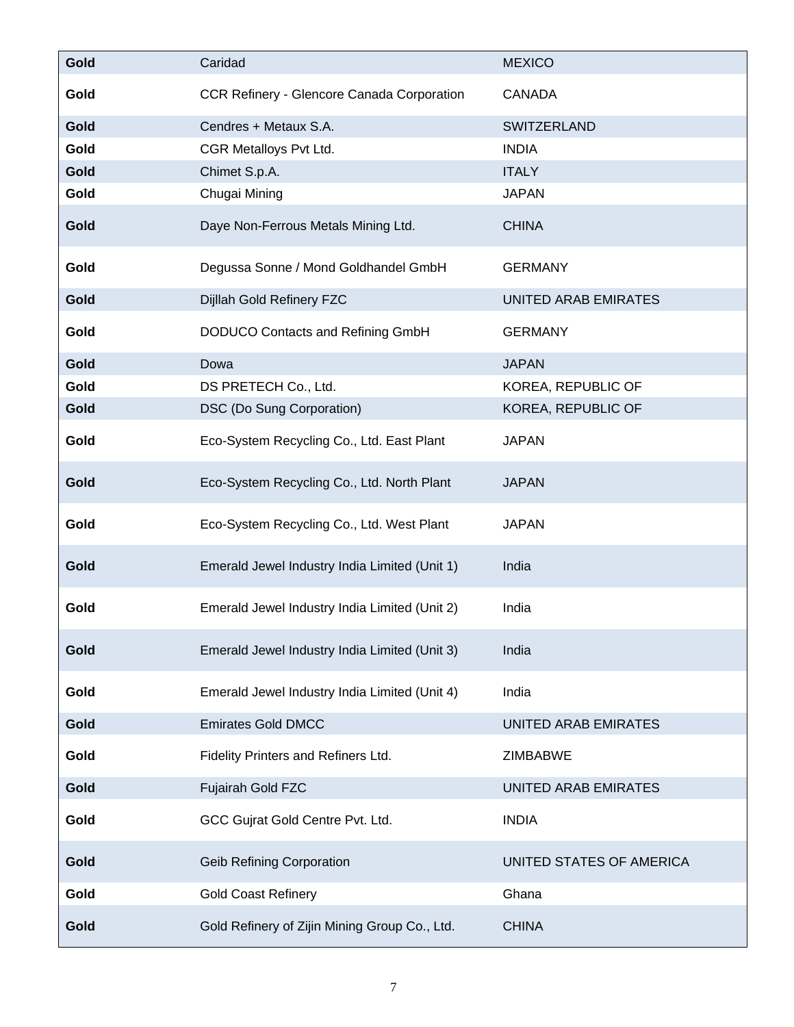| <b>Gold</b> | Caridad                                           | <b>MEXICO</b>               |
|-------------|---------------------------------------------------|-----------------------------|
| Gold        | <b>CCR Refinery - Glencore Canada Corporation</b> | <b>CANADA</b>               |
| Gold        | Cendres + Metaux S.A.                             | SWITZERLAND                 |
| Gold        | CGR Metalloys Pvt Ltd.                            | <b>INDIA</b>                |
| Gold        | Chimet S.p.A.                                     | <b>ITALY</b>                |
| Gold        | Chugai Mining                                     | <b>JAPAN</b>                |
| Gold        | Daye Non-Ferrous Metals Mining Ltd.               | <b>CHINA</b>                |
| Gold        | Degussa Sonne / Mond Goldhandel GmbH              | <b>GERMANY</b>              |
| Gold        | Dijllah Gold Refinery FZC                         | UNITED ARAB EMIRATES        |
| Gold        | DODUCO Contacts and Refining GmbH                 | <b>GERMANY</b>              |
| Gold        | Dowa                                              | <b>JAPAN</b>                |
| Gold        | DS PRETECH Co., Ltd.                              | KOREA, REPUBLIC OF          |
| Gold        | DSC (Do Sung Corporation)                         | KOREA, REPUBLIC OF          |
| Gold        | Eco-System Recycling Co., Ltd. East Plant         | <b>JAPAN</b>                |
| Gold        | Eco-System Recycling Co., Ltd. North Plant        | <b>JAPAN</b>                |
| Gold        | Eco-System Recycling Co., Ltd. West Plant         | <b>JAPAN</b>                |
| Gold        | Emerald Jewel Industry India Limited (Unit 1)     | India                       |
| Gold        | Emerald Jewel Industry India Limited (Unit 2)     | India                       |
| Gold        | Emerald Jewel Industry India Limited (Unit 3)     | India                       |
| Gold        | Emerald Jewel Industry India Limited (Unit 4)     | India                       |
| Gold        | <b>Emirates Gold DMCC</b>                         | <b>UNITED ARAB EMIRATES</b> |
| Gold        | Fidelity Printers and Refiners Ltd.               | <b>ZIMBABWE</b>             |
| Gold        | Fujairah Gold FZC                                 | UNITED ARAB EMIRATES        |
| Gold        | GCC Gujrat Gold Centre Pvt. Ltd.                  | <b>INDIA</b>                |
| Gold        | <b>Geib Refining Corporation</b>                  | UNITED STATES OF AMERICA    |
| Gold        | <b>Gold Coast Refinery</b>                        | Ghana                       |
| Gold        | Gold Refinery of Zijin Mining Group Co., Ltd.     | <b>CHINA</b>                |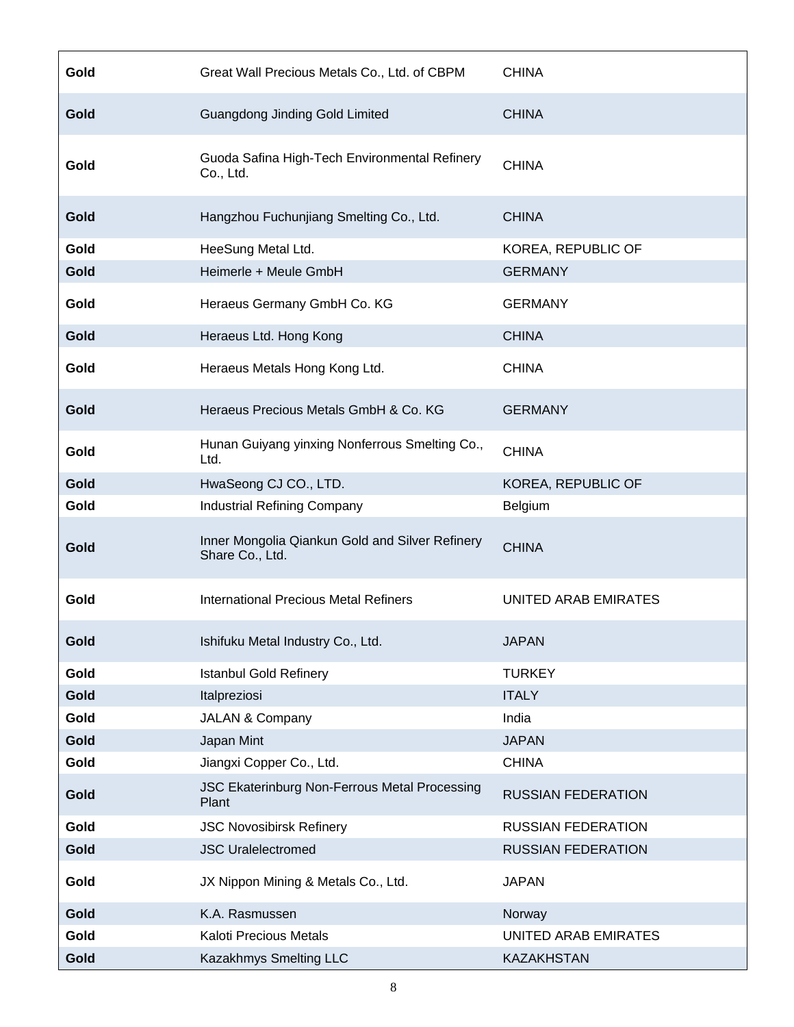| Gold | Great Wall Precious Metals Co., Ltd. of CBPM                       | <b>CHINA</b>                |
|------|--------------------------------------------------------------------|-----------------------------|
| Gold | Guangdong Jinding Gold Limited                                     | <b>CHINA</b>                |
| Gold | Guoda Safina High-Tech Environmental Refinery<br>Co., Ltd.         | <b>CHINA</b>                |
| Gold | Hangzhou Fuchunjiang Smelting Co., Ltd.                            | <b>CHINA</b>                |
| Gold | HeeSung Metal Ltd.                                                 | KOREA, REPUBLIC OF          |
| Gold | Heimerle + Meule GmbH                                              | <b>GERMANY</b>              |
| Gold | Heraeus Germany GmbH Co. KG                                        | <b>GERMANY</b>              |
| Gold | Heraeus Ltd. Hong Kong                                             | <b>CHINA</b>                |
| Gold | Heraeus Metals Hong Kong Ltd.                                      | <b>CHINA</b>                |
| Gold | Heraeus Precious Metals GmbH & Co. KG                              | <b>GERMANY</b>              |
| Gold | Hunan Guiyang yinxing Nonferrous Smelting Co.,<br>Ltd.             | <b>CHINA</b>                |
| Gold | HwaSeong CJ CO., LTD.                                              | KOREA, REPUBLIC OF          |
| Gold | <b>Industrial Refining Company</b>                                 | Belgium                     |
| Gold | Inner Mongolia Qiankun Gold and Silver Refinery<br>Share Co., Ltd. | <b>CHINA</b>                |
| Gold | <b>International Precious Metal Refiners</b>                       | <b>UNITED ARAB EMIRATES</b> |
| Gold | Ishifuku Metal Industry Co., Ltd.                                  | <b>JAPAN</b>                |
| Gold | <b>Istanbul Gold Refinery</b>                                      | <b>TURKEY</b>               |
| Gold | Italpreziosi                                                       | <b>ITALY</b>                |
| Gold | JALAN & Company                                                    | India                       |
| Gold | Japan Mint                                                         | <b>JAPAN</b>                |
| Gold | Jiangxi Copper Co., Ltd.                                           | <b>CHINA</b>                |
| Gold | JSC Ekaterinburg Non-Ferrous Metal Processing<br>Plant             | <b>RUSSIAN FEDERATION</b>   |
| Gold | <b>JSC Novosibirsk Refinery</b>                                    | <b>RUSSIAN FEDERATION</b>   |
| Gold | <b>JSC Uralelectromed</b>                                          | <b>RUSSIAN FEDERATION</b>   |
| Gold | JX Nippon Mining & Metals Co., Ltd.                                | <b>JAPAN</b>                |
| Gold | K.A. Rasmussen                                                     | Norway                      |
| Gold | Kaloti Precious Metals                                             | UNITED ARAB EMIRATES        |
| Gold | Kazakhmys Smelting LLC                                             | <b>KAZAKHSTAN</b>           |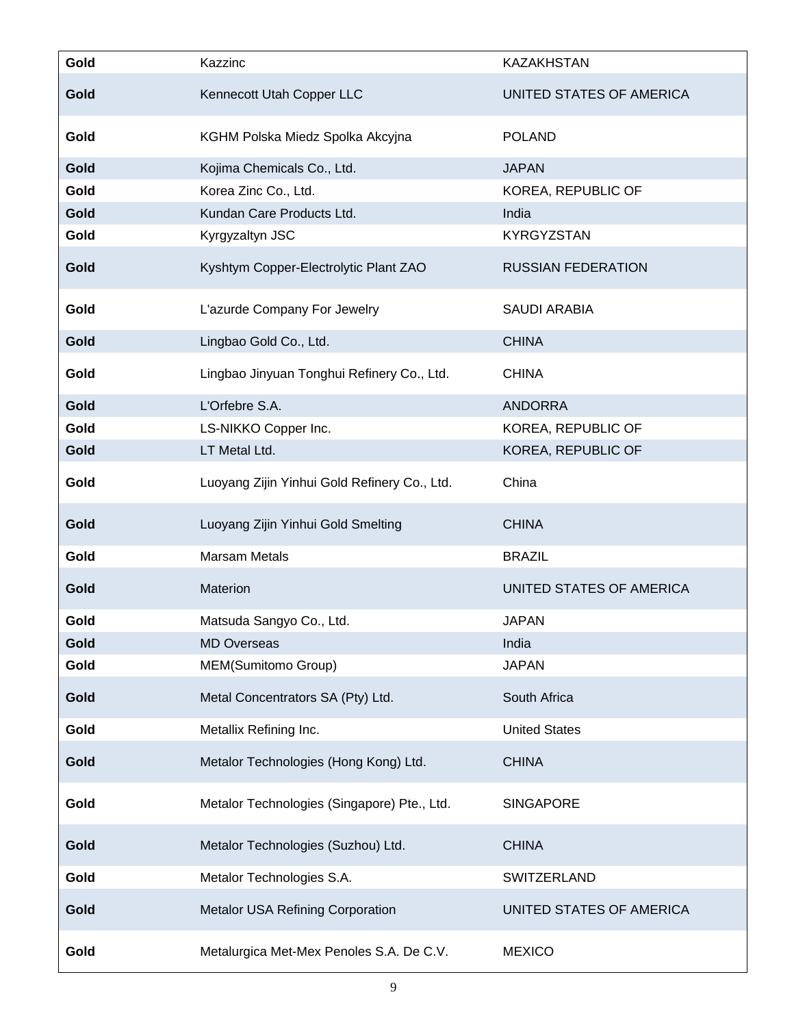| Gold | Kazzinc                                      | <b>KAZAKHSTAN</b>         |
|------|----------------------------------------------|---------------------------|
| Gold | Kennecott Utah Copper LLC                    | UNITED STATES OF AMERICA  |
| Gold | KGHM Polska Miedz Spolka Akcyjna             | <b>POLAND</b>             |
| Gold | Kojima Chemicals Co., Ltd.                   | <b>JAPAN</b>              |
| Gold | Korea Zinc Co., Ltd.                         | KOREA, REPUBLIC OF        |
| Gold | Kundan Care Products Ltd.                    | India                     |
| Gold | Kyrgyzaltyn JSC                              | <b>KYRGYZSTAN</b>         |
| Gold | Kyshtym Copper-Electrolytic Plant ZAO        | <b>RUSSIAN FEDERATION</b> |
| Gold | L'azurde Company For Jewelry                 | <b>SAUDI ARABIA</b>       |
| Gold | Lingbao Gold Co., Ltd.                       | <b>CHINA</b>              |
| Gold | Lingbao Jinyuan Tonghui Refinery Co., Ltd.   | <b>CHINA</b>              |
| Gold | L'Orfebre S.A.                               | <b>ANDORRA</b>            |
| Gold | LS-NIKKO Copper Inc.                         | KOREA, REPUBLIC OF        |
| Gold | LT Metal Ltd.                                | KOREA, REPUBLIC OF        |
| Gold | Luoyang Zijin Yinhui Gold Refinery Co., Ltd. | China                     |
| Gold | Luoyang Zijin Yinhui Gold Smelting           | <b>CHINA</b>              |
| Gold | <b>Marsam Metals</b>                         | <b>BRAZIL</b>             |
| Gold | Materion                                     | UNITED STATES OF AMERICA  |
| Gold | Matsuda Sangyo Co., Ltd.                     | <b>JAPAN</b>              |
| Gold | <b>MD Overseas</b>                           | India                     |
| Gold | MEM(Sumitomo Group)                          | <b>JAPAN</b>              |
| Gold | Metal Concentrators SA (Pty) Ltd.            | South Africa              |
| Gold | Metallix Refining Inc.                       | <b>United States</b>      |
| Gold | Metalor Technologies (Hong Kong) Ltd.        | <b>CHINA</b>              |
| Gold | Metalor Technologies (Singapore) Pte., Ltd.  | <b>SINGAPORE</b>          |
| Gold | Metalor Technologies (Suzhou) Ltd.           | <b>CHINA</b>              |
| Gold | Metalor Technologies S.A.                    | SWITZERLAND               |
| Gold | Metalor USA Refining Corporation             | UNITED STATES OF AMERICA  |
| Gold | Metalurgica Met-Mex Penoles S.A. De C.V.     | <b>MEXICO</b>             |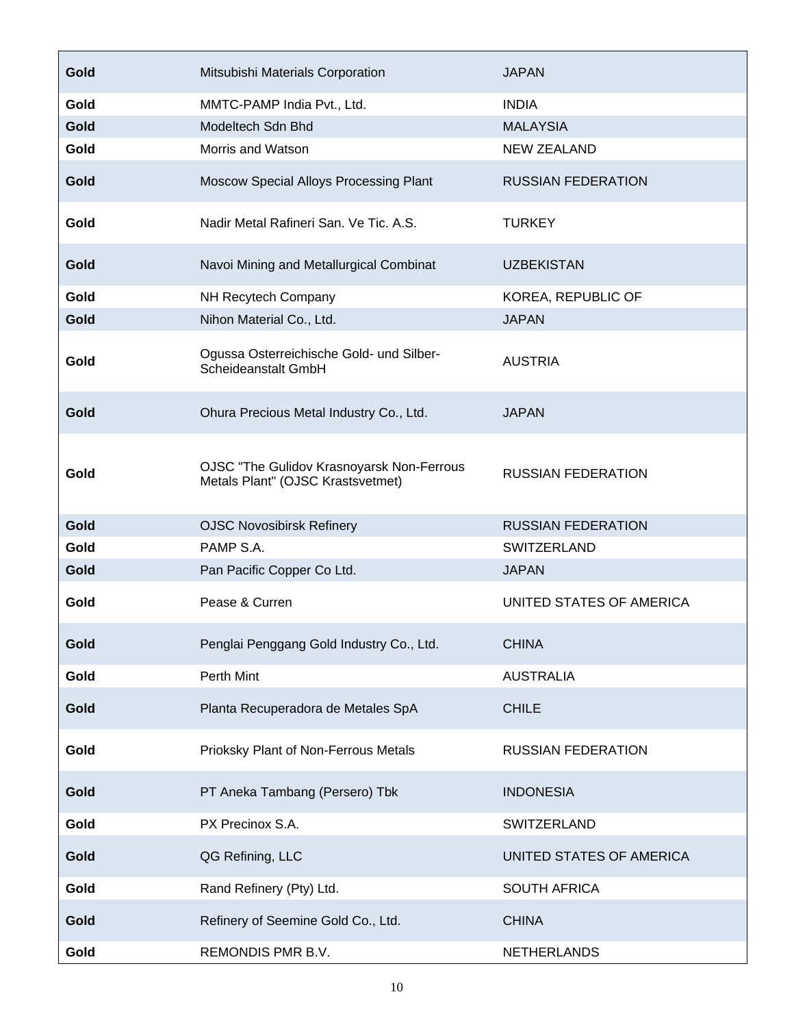| Gold | Mitsubishi Materials Corporation                                               | <b>JAPAN</b>              |
|------|--------------------------------------------------------------------------------|---------------------------|
| Gold | MMTC-PAMP India Pvt., Ltd.                                                     | <b>INDIA</b>              |
| Gold | Modeltech Sdn Bhd                                                              | <b>MALAYSIA</b>           |
| Gold | Morris and Watson                                                              | <b>NEW ZEALAND</b>        |
| Gold | Moscow Special Alloys Processing Plant                                         | <b>RUSSIAN FEDERATION</b> |
| Gold | Nadir Metal Rafineri San. Ve Tic. A.S.                                         | <b>TURKEY</b>             |
| Gold | Navoi Mining and Metallurgical Combinat                                        | <b>UZBEKISTAN</b>         |
| Gold | NH Recytech Company                                                            | KOREA, REPUBLIC OF        |
| Gold | Nihon Material Co., Ltd.                                                       | <b>JAPAN</b>              |
| Gold | Ogussa Osterreichische Gold- und Silber-<br>Scheideanstalt GmbH                | <b>AUSTRIA</b>            |
| Gold | Ohura Precious Metal Industry Co., Ltd.                                        | <b>JAPAN</b>              |
| Gold | OJSC "The Gulidov Krasnoyarsk Non-Ferrous<br>Metals Plant" (OJSC Krastsvetmet) | <b>RUSSIAN FEDERATION</b> |
| Gold | <b>OJSC Novosibirsk Refinery</b>                                               | <b>RUSSIAN FEDERATION</b> |
| Gold | PAMP S.A.                                                                      | <b>SWITZERLAND</b>        |
| Gold | Pan Pacific Copper Co Ltd.                                                     | <b>JAPAN</b>              |
| Gold | Pease & Curren                                                                 | UNITED STATES OF AMERICA  |
| Gold | Penglai Penggang Gold Industry Co., Ltd.                                       | <b>CHINA</b>              |
| Gold | Perth Mint                                                                     | <b>AUSTRALIA</b>          |
| Gold | Planta Recuperadora de Metales SpA                                             | <b>CHILE</b>              |
| Gold | Prioksky Plant of Non-Ferrous Metals                                           | <b>RUSSIAN FEDERATION</b> |
| Gold | PT Aneka Tambang (Persero) Tbk                                                 | <b>INDONESIA</b>          |
| Gold | PX Precinox S.A.                                                               | SWITZERLAND               |
| Gold | QG Refining, LLC                                                               | UNITED STATES OF AMERICA  |
| Gold | Rand Refinery (Pty) Ltd.                                                       | <b>SOUTH AFRICA</b>       |
| Gold | Refinery of Seemine Gold Co., Ltd.                                             | <b>CHINA</b>              |
| Gold | REMONDIS PMR B.V.                                                              | <b>NETHERLANDS</b>        |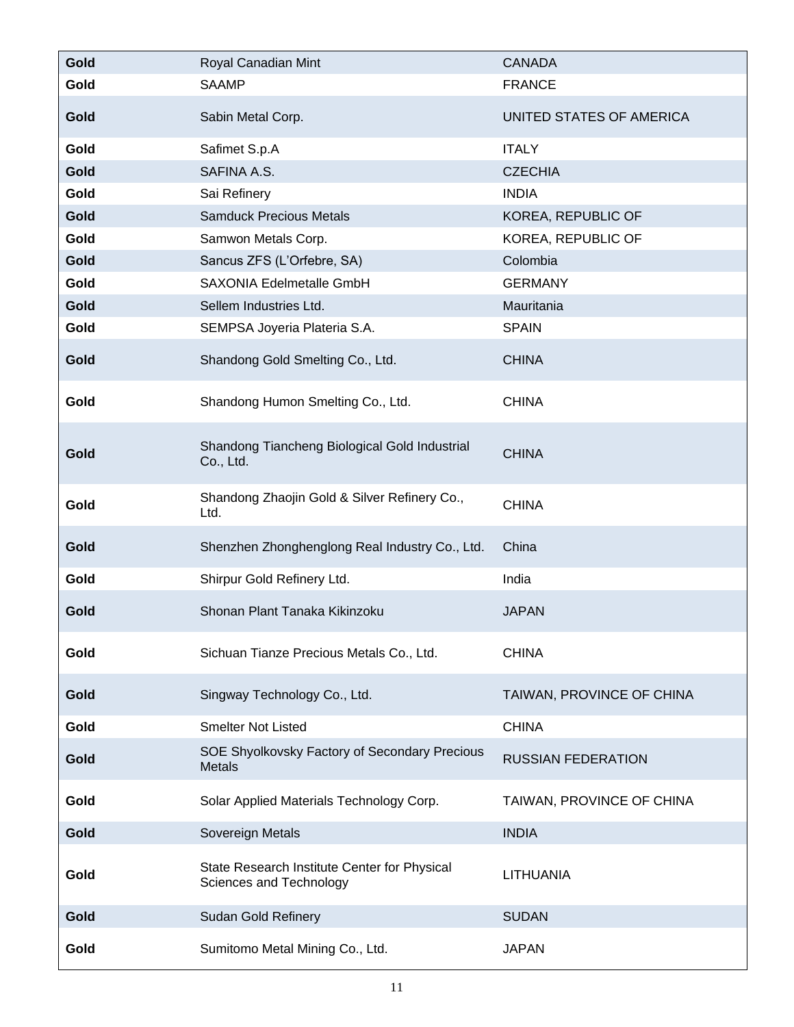| Gold | Royal Canadian Mint                                                     | <b>CANADA</b>             |
|------|-------------------------------------------------------------------------|---------------------------|
| Gold | <b>SAAMP</b>                                                            | <b>FRANCE</b>             |
| Gold | Sabin Metal Corp.                                                       | UNITED STATES OF AMERICA  |
| Gold | Safimet S.p.A                                                           | <b>ITALY</b>              |
| Gold | SAFINA A.S.                                                             | <b>CZECHIA</b>            |
| Gold | Sai Refinery                                                            | <b>INDIA</b>              |
| Gold | <b>Samduck Precious Metals</b>                                          | KOREA, REPUBLIC OF        |
| Gold | Samwon Metals Corp.                                                     | KOREA, REPUBLIC OF        |
| Gold | Sancus ZFS (L'Orfebre, SA)                                              | Colombia                  |
| Gold | SAXONIA Edelmetalle GmbH                                                | <b>GERMANY</b>            |
| Gold | Sellem Industries Ltd.                                                  | Mauritania                |
| Gold | SEMPSA Joyeria Plateria S.A.                                            | <b>SPAIN</b>              |
| Gold | Shandong Gold Smelting Co., Ltd.                                        | <b>CHINA</b>              |
| Gold | Shandong Humon Smelting Co., Ltd.                                       | <b>CHINA</b>              |
| Gold | Shandong Tiancheng Biological Gold Industrial<br>Co., Ltd.              | <b>CHINA</b>              |
| Gold | Shandong Zhaojin Gold & Silver Refinery Co.,<br>Ltd.                    | <b>CHINA</b>              |
| Gold | Shenzhen Zhonghenglong Real Industry Co., Ltd.                          | China                     |
| Gold | Shirpur Gold Refinery Ltd.                                              | India                     |
| Gold | Shonan Plant Tanaka Kikinzoku                                           | <b>JAPAN</b>              |
| Gold | Sichuan Tianze Precious Metals Co., Ltd.                                | <b>CHINA</b>              |
| Gold | Singway Technology Co., Ltd.                                            | TAIWAN, PROVINCE OF CHINA |
| Gold | <b>Smelter Not Listed</b>                                               | <b>CHINA</b>              |
| Gold | SOE Shyolkovsky Factory of Secondary Precious<br>Metals                 | <b>RUSSIAN FEDERATION</b> |
| Gold | Solar Applied Materials Technology Corp.                                | TAIWAN, PROVINCE OF CHINA |
| Gold | Sovereign Metals                                                        | <b>INDIA</b>              |
| Gold | State Research Institute Center for Physical<br>Sciences and Technology | LITHUANIA                 |
| Gold | <b>Sudan Gold Refinery</b>                                              | <b>SUDAN</b>              |
| Gold | Sumitomo Metal Mining Co., Ltd.                                         | <b>JAPAN</b>              |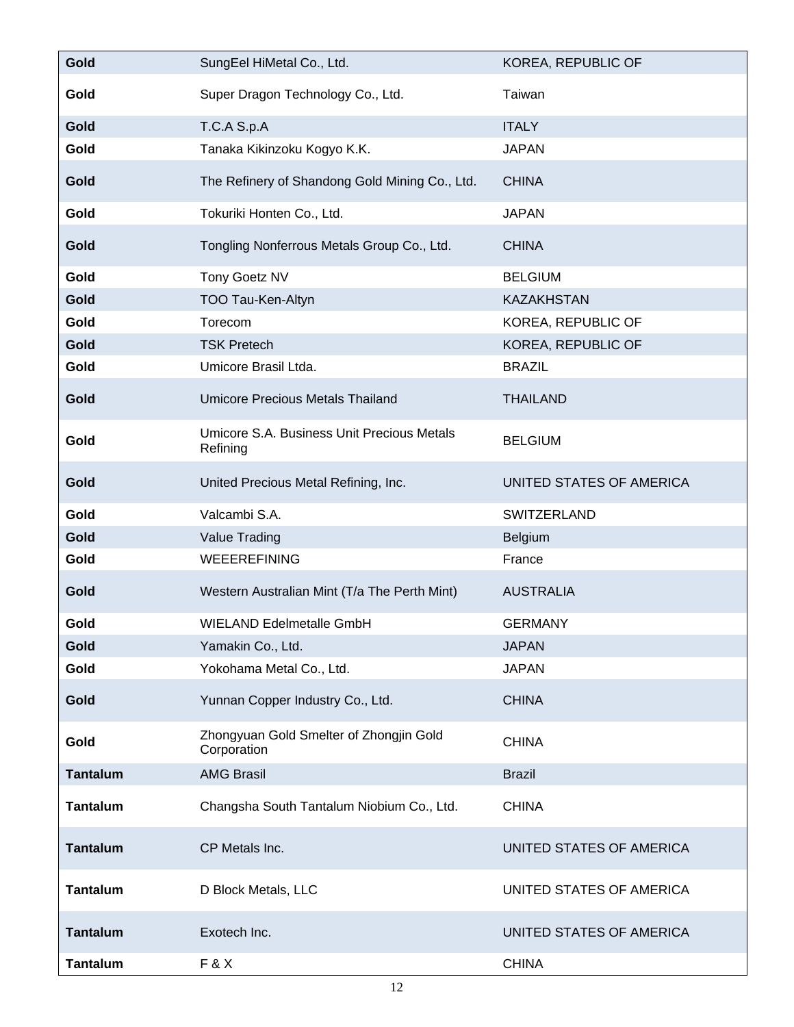| Gold            | SungEel HiMetal Co., Ltd.                              | KOREA, REPUBLIC OF       |
|-----------------|--------------------------------------------------------|--------------------------|
| Gold            | Super Dragon Technology Co., Ltd.                      | Taiwan                   |
| Gold            | T.C.A S.p.A                                            | <b>ITALY</b>             |
| Gold            | Tanaka Kikinzoku Kogyo K.K.                            | <b>JAPAN</b>             |
| Gold            | The Refinery of Shandong Gold Mining Co., Ltd.         | <b>CHINA</b>             |
| Gold            | Tokuriki Honten Co., Ltd.                              | <b>JAPAN</b>             |
| Gold            | Tongling Nonferrous Metals Group Co., Ltd.             | <b>CHINA</b>             |
| Gold            | Tony Goetz NV                                          | <b>BELGIUM</b>           |
| Gold            | TOO Tau-Ken-Altyn                                      | <b>KAZAKHSTAN</b>        |
| Gold            | Torecom                                                | KOREA, REPUBLIC OF       |
| Gold            | <b>TSK Pretech</b>                                     | KOREA, REPUBLIC OF       |
| Gold            | Umicore Brasil Ltda.                                   | <b>BRAZIL</b>            |
| Gold            | <b>Umicore Precious Metals Thailand</b>                | <b>THAILAND</b>          |
| Gold            | Umicore S.A. Business Unit Precious Metals<br>Refining | <b>BELGIUM</b>           |
| Gold            | United Precious Metal Refining, Inc.                   | UNITED STATES OF AMERICA |
| Gold            | Valcambi S.A.                                          | SWITZERLAND              |
| Gold            | Value Trading                                          | Belgium                  |
| Gold            | <b>WEEEREFINING</b>                                    | France                   |
| Gold            | Western Australian Mint (T/a The Perth Mint)           | <b>AUSTRALIA</b>         |
| Gold            | <b>WIELAND Edelmetalle GmbH</b>                        | <b>GERMANY</b>           |
| Gold            | Yamakin Co., Ltd.                                      | <b>JAPAN</b>             |
| Gold            | Yokohama Metal Co., Ltd.                               | <b>JAPAN</b>             |
| Gold            | Yunnan Copper Industry Co., Ltd.                       | <b>CHINA</b>             |
| Gold            | Zhongyuan Gold Smelter of Zhongjin Gold<br>Corporation | <b>CHINA</b>             |
| <b>Tantalum</b> | <b>AMG Brasil</b>                                      | <b>Brazil</b>            |
| <b>Tantalum</b> | Changsha South Tantalum Niobium Co., Ltd.              | <b>CHINA</b>             |
| <b>Tantalum</b> | CP Metals Inc.                                         | UNITED STATES OF AMERICA |
| <b>Tantalum</b> | D Block Metals, LLC                                    | UNITED STATES OF AMERICA |
| <b>Tantalum</b> | Exotech Inc.                                           | UNITED STATES OF AMERICA |
| <b>Tantalum</b> | F&X                                                    | <b>CHINA</b>             |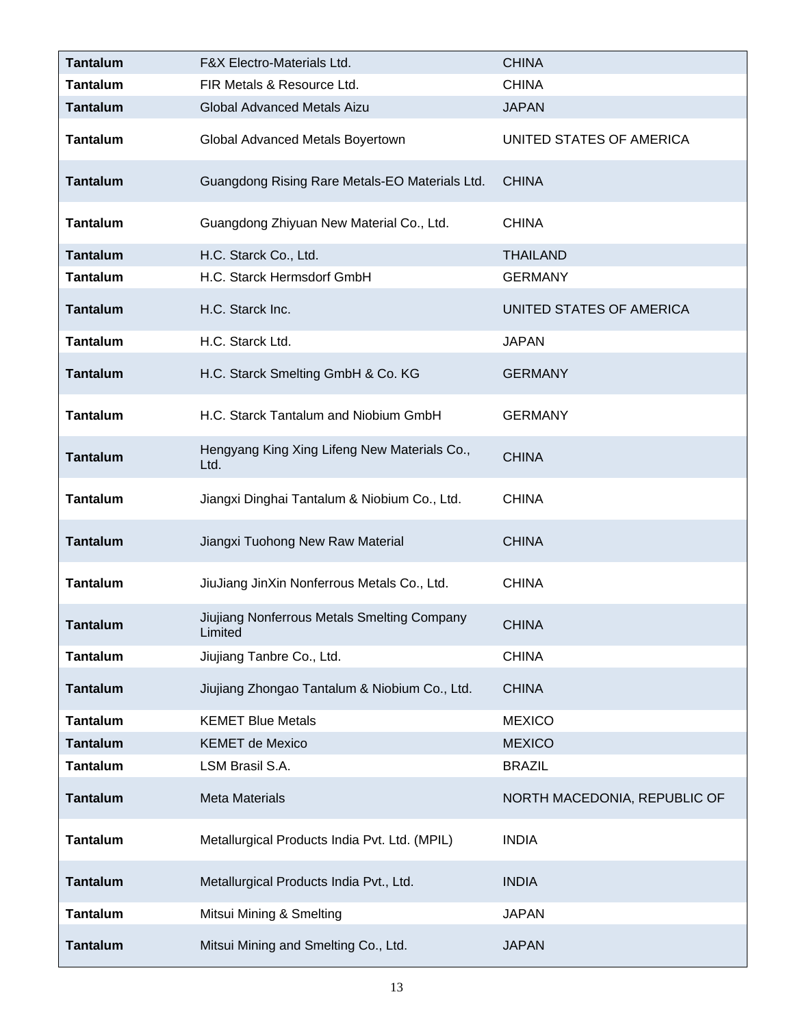| <b>Tantalum</b> | F&X Electro-Materials Ltd.                             | <b>CHINA</b>                 |
|-----------------|--------------------------------------------------------|------------------------------|
| <b>Tantalum</b> | FIR Metals & Resource Ltd.                             | <b>CHINA</b>                 |
| <b>Tantalum</b> | Global Advanced Metals Aizu                            | <b>JAPAN</b>                 |
| <b>Tantalum</b> | Global Advanced Metals Boyertown                       | UNITED STATES OF AMERICA     |
| <b>Tantalum</b> | Guangdong Rising Rare Metals-EO Materials Ltd.         | <b>CHINA</b>                 |
| <b>Tantalum</b> | Guangdong Zhiyuan New Material Co., Ltd.               | <b>CHINA</b>                 |
| <b>Tantalum</b> | H.C. Starck Co., Ltd.                                  | <b>THAILAND</b>              |
| <b>Tantalum</b> | H.C. Starck Hermsdorf GmbH                             | <b>GERMANY</b>               |
| <b>Tantalum</b> | H.C. Starck Inc.                                       | UNITED STATES OF AMERICA     |
| <b>Tantalum</b> | H.C. Starck Ltd.                                       | <b>JAPAN</b>                 |
| <b>Tantalum</b> | H.C. Starck Smelting GmbH & Co. KG                     | <b>GERMANY</b>               |
| <b>Tantalum</b> | H.C. Starck Tantalum and Niobium GmbH                  | <b>GERMANY</b>               |
| <b>Tantalum</b> | Hengyang King Xing Lifeng New Materials Co.,<br>Ltd.   | <b>CHINA</b>                 |
| <b>Tantalum</b> | Jiangxi Dinghai Tantalum & Niobium Co., Ltd.           | <b>CHINA</b>                 |
| <b>Tantalum</b> | Jiangxi Tuohong New Raw Material                       | <b>CHINA</b>                 |
| <b>Tantalum</b> | JiuJiang JinXin Nonferrous Metals Co., Ltd.            | <b>CHINA</b>                 |
| <b>Tantalum</b> | Jiujiang Nonferrous Metals Smelting Company<br>Limited | <b>CHINA</b>                 |
| <b>Tantalum</b> | Jiujiang Tanbre Co., Ltd.                              | <b>CHINA</b>                 |
| <b>Tantalum</b> | Jiujiang Zhongao Tantalum & Niobium Co., Ltd.          | <b>CHINA</b>                 |
| <b>Tantalum</b> | <b>KEMET Blue Metals</b>                               | <b>MEXICO</b>                |
| <b>Tantalum</b> | <b>KEMET de Mexico</b>                                 | <b>MEXICO</b>                |
| <b>Tantalum</b> | LSM Brasil S.A.                                        | <b>BRAZIL</b>                |
| <b>Tantalum</b> | <b>Meta Materials</b>                                  | NORTH MACEDONIA, REPUBLIC OF |
| <b>Tantalum</b> | Metallurgical Products India Pvt. Ltd. (MPIL)          | <b>INDIA</b>                 |
| <b>Tantalum</b> | Metallurgical Products India Pvt., Ltd.                | <b>INDIA</b>                 |
| <b>Tantalum</b> | Mitsui Mining & Smelting                               | <b>JAPAN</b>                 |
| <b>Tantalum</b> | Mitsui Mining and Smelting Co., Ltd.                   | <b>JAPAN</b>                 |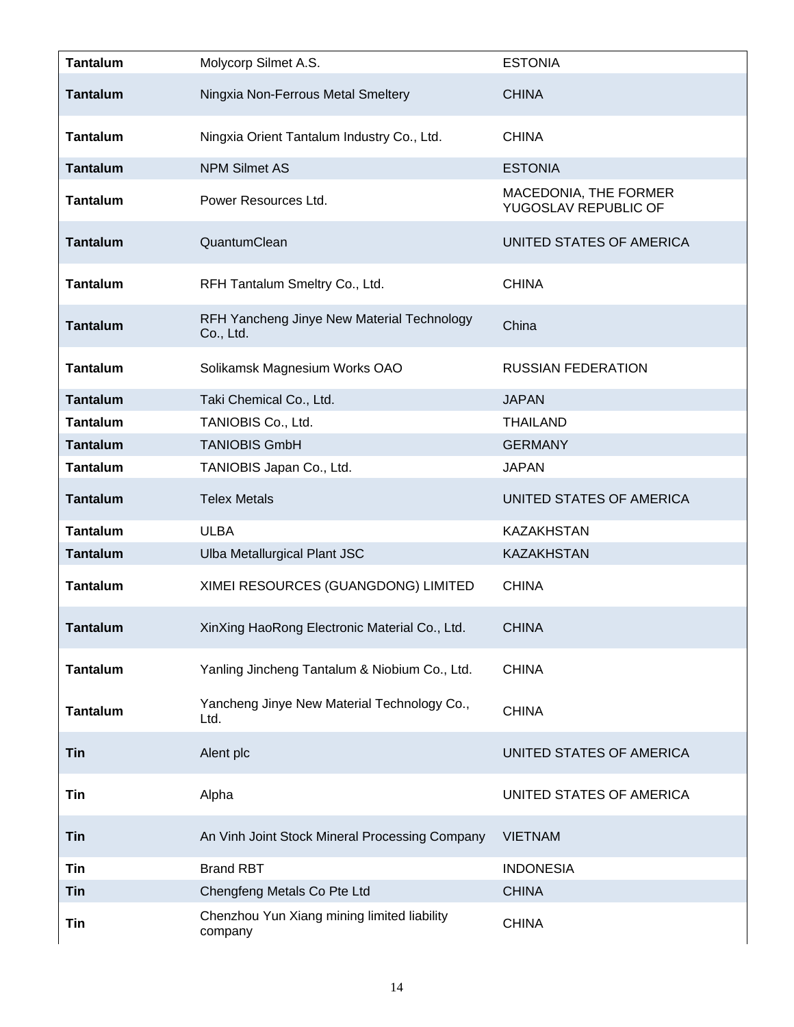| <b>Tantalum</b> | Molycorp Silmet A.S.                                    | <b>ESTONIA</b>                                |
|-----------------|---------------------------------------------------------|-----------------------------------------------|
| <b>Tantalum</b> | Ningxia Non-Ferrous Metal Smeltery                      | <b>CHINA</b>                                  |
| <b>Tantalum</b> | Ningxia Orient Tantalum Industry Co., Ltd.              | <b>CHINA</b>                                  |
| <b>Tantalum</b> | <b>NPM Silmet AS</b>                                    | <b>ESTONIA</b>                                |
| <b>Tantalum</b> | Power Resources Ltd.                                    | MACEDONIA, THE FORMER<br>YUGOSLAV REPUBLIC OF |
| <b>Tantalum</b> | QuantumClean                                            | UNITED STATES OF AMERICA                      |
| <b>Tantalum</b> | RFH Tantalum Smeltry Co., Ltd.                          | <b>CHINA</b>                                  |
| <b>Tantalum</b> | RFH Yancheng Jinye New Material Technology<br>Co., Ltd. | China                                         |
| <b>Tantalum</b> | Solikamsk Magnesium Works OAO                           | <b>RUSSIAN FEDERATION</b>                     |
| <b>Tantalum</b> | Taki Chemical Co., Ltd.                                 | <b>JAPAN</b>                                  |
| <b>Tantalum</b> | TANIOBIS Co., Ltd.                                      | <b>THAILAND</b>                               |
| <b>Tantalum</b> | <b>TANIOBIS GmbH</b>                                    | <b>GERMANY</b>                                |
| <b>Tantalum</b> | TANIOBIS Japan Co., Ltd.                                | <b>JAPAN</b>                                  |
| <b>Tantalum</b> | <b>Telex Metals</b>                                     | UNITED STATES OF AMERICA                      |
| <b>Tantalum</b> | <b>ULBA</b>                                             | <b>KAZAKHSTAN</b>                             |
| <b>Tantalum</b> | Ulba Metallurgical Plant JSC                            | <b>KAZAKHSTAN</b>                             |
| <b>Tantalum</b> | XIMEI RESOURCES (GUANGDONG) LIMITED                     | <b>CHINA</b>                                  |
| <b>Tantalum</b> | XinXing HaoRong Electronic Material Co., Ltd.           | <b>CHINA</b>                                  |
| <b>Tantalum</b> | Yanling Jincheng Tantalum & Niobium Co., Ltd.           | <b>CHINA</b>                                  |
| <b>Tantalum</b> | Yancheng Jinye New Material Technology Co.,<br>Ltd.     | <b>CHINA</b>                                  |
| <b>Tin</b>      | Alent plc                                               | UNITED STATES OF AMERICA                      |
| Tin             | Alpha                                                   | UNITED STATES OF AMERICA                      |
| <b>Tin</b>      | An Vinh Joint Stock Mineral Processing Company          | <b>VIETNAM</b>                                |
| Tin             | <b>Brand RBT</b>                                        | <b>INDONESIA</b>                              |
| <b>Tin</b>      | Chengfeng Metals Co Pte Ltd                             | <b>CHINA</b>                                  |
| Tin             | Chenzhou Yun Xiang mining limited liability<br>company  | <b>CHINA</b>                                  |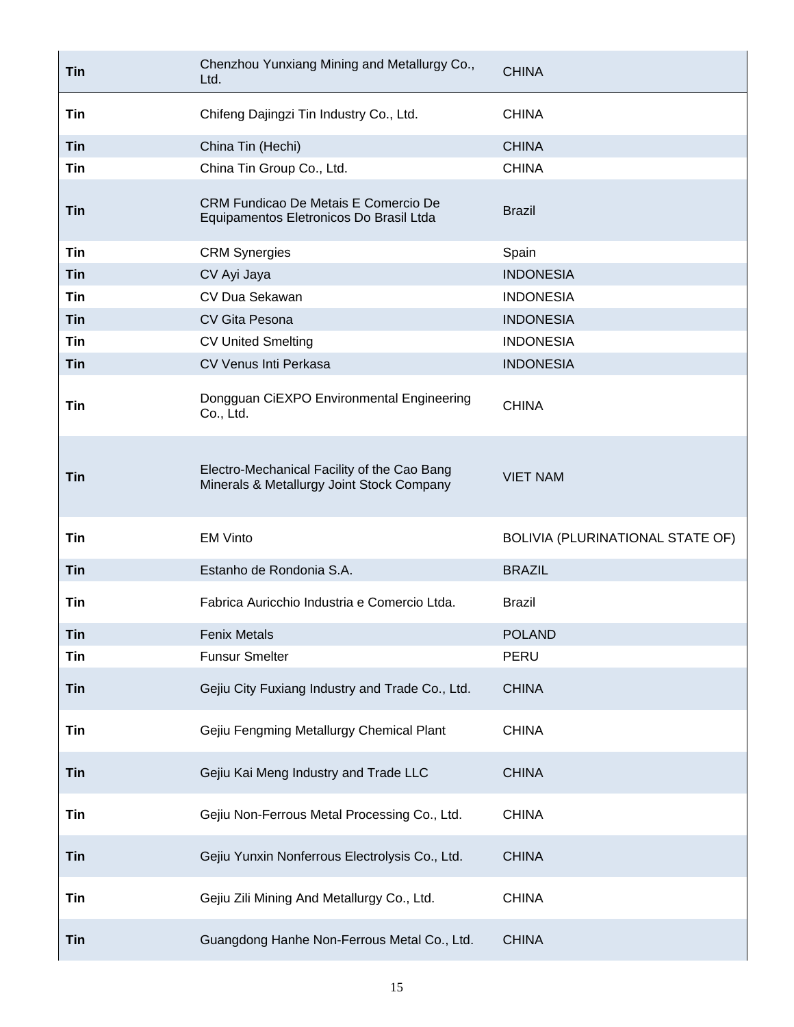| Tin        | Chenzhou Yunxiang Mining and Metallurgy Co.,<br>Ltd.                                     | <b>CHINA</b>                     |
|------------|------------------------------------------------------------------------------------------|----------------------------------|
| Tin        | Chifeng Dajingzi Tin Industry Co., Ltd.                                                  | <b>CHINA</b>                     |
| <b>Tin</b> | China Tin (Hechi)                                                                        | <b>CHINA</b>                     |
| Tin        | China Tin Group Co., Ltd.                                                                | <b>CHINA</b>                     |
| <b>Tin</b> | CRM Fundicao De Metais E Comercio De<br>Equipamentos Eletronicos Do Brasil Ltda          | <b>Brazil</b>                    |
| <b>Tin</b> | <b>CRM Synergies</b>                                                                     | Spain                            |
| <b>Tin</b> | CV Ayi Jaya                                                                              | <b>INDONESIA</b>                 |
| <b>Tin</b> | CV Dua Sekawan                                                                           | <b>INDONESIA</b>                 |
| <b>Tin</b> | CV Gita Pesona                                                                           | <b>INDONESIA</b>                 |
| <b>Tin</b> | <b>CV United Smelting</b>                                                                | <b>INDONESIA</b>                 |
| <b>Tin</b> | CV Venus Inti Perkasa                                                                    | <b>INDONESIA</b>                 |
| Tin        | Dongguan CiEXPO Environmental Engineering<br>Co., Ltd.                                   | <b>CHINA</b>                     |
| Tin        | Electro-Mechanical Facility of the Cao Bang<br>Minerals & Metallurgy Joint Stock Company | <b>VIET NAM</b>                  |
| <b>Tin</b> | <b>EM Vinto</b>                                                                          | BOLIVIA (PLURINATIONAL STATE OF) |
| <b>Tin</b> | Estanho de Rondonia S.A.                                                                 | <b>BRAZIL</b>                    |
| Tin        | Fabrica Auricchio Industria e Comercio Ltda.                                             | <b>Brazil</b>                    |
| Tin        | <b>Fenix Metals</b>                                                                      | <b>POLAND</b>                    |
| Tin        | <b>Funsur Smelter</b>                                                                    | PERU                             |
| <b>Tin</b> | Gejiu City Fuxiang Industry and Trade Co., Ltd.                                          | <b>CHINA</b>                     |
| Tin        | Gejiu Fengming Metallurgy Chemical Plant                                                 | <b>CHINA</b>                     |
| <b>Tin</b> | Gejiu Kai Meng Industry and Trade LLC                                                    | <b>CHINA</b>                     |
| Tin        | Gejiu Non-Ferrous Metal Processing Co., Ltd.                                             | <b>CHINA</b>                     |
| <b>Tin</b> | Gejiu Yunxin Nonferrous Electrolysis Co., Ltd.                                           | <b>CHINA</b>                     |
| Tin        | Gejiu Zili Mining And Metallurgy Co., Ltd.                                               | <b>CHINA</b>                     |
| Tin        | Guangdong Hanhe Non-Ferrous Metal Co., Ltd.                                              | <b>CHINA</b>                     |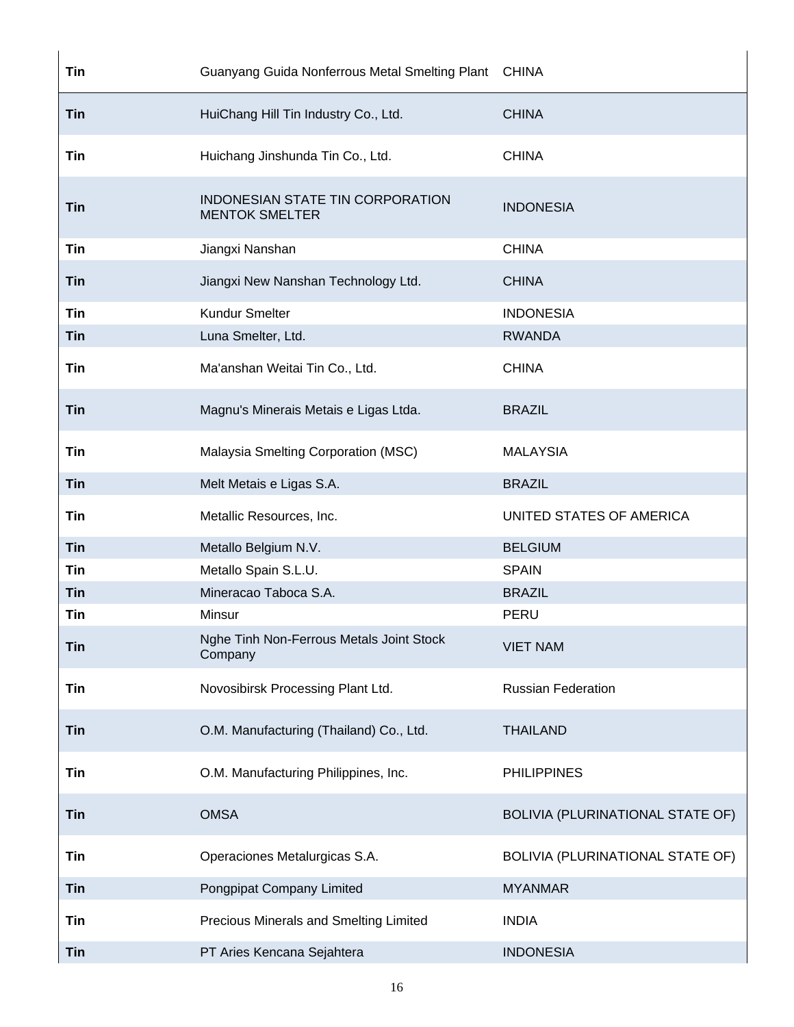| <b>Tin</b> | Guanyang Guida Nonferrous Metal Smelting Plant CHINA      |                                  |
|------------|-----------------------------------------------------------|----------------------------------|
| <b>Tin</b> | HuiChang Hill Tin Industry Co., Ltd.                      | <b>CHINA</b>                     |
| <b>Tin</b> | Huichang Jinshunda Tin Co., Ltd.                          | <b>CHINA</b>                     |
| <b>Tin</b> | INDONESIAN STATE TIN CORPORATION<br><b>MENTOK SMELTER</b> | <b>INDONESIA</b>                 |
| <b>Tin</b> | Jiangxi Nanshan                                           | <b>CHINA</b>                     |
| <b>Tin</b> | Jiangxi New Nanshan Technology Ltd.                       | <b>CHINA</b>                     |
| Tin        | <b>Kundur Smelter</b>                                     | <b>INDONESIA</b>                 |
| <b>Tin</b> | Luna Smelter, Ltd.                                        | <b>RWANDA</b>                    |
| Tin        | Ma'anshan Weitai Tin Co., Ltd.                            | <b>CHINA</b>                     |
| <b>Tin</b> | Magnu's Minerais Metais e Ligas Ltda.                     | <b>BRAZIL</b>                    |
| <b>Tin</b> | Malaysia Smelting Corporation (MSC)                       | <b>MALAYSIA</b>                  |
| <b>Tin</b> | Melt Metais e Ligas S.A.                                  | <b>BRAZIL</b>                    |
| Tin        | Metallic Resources, Inc.                                  | UNITED STATES OF AMERICA         |
| <b>Tin</b> | Metallo Belgium N.V.                                      | <b>BELGIUM</b>                   |
| Tin        | Metallo Spain S.L.U.                                      | <b>SPAIN</b>                     |
| <b>Tin</b> | Mineracao Taboca S.A.                                     | <b>BRAZIL</b>                    |
| Tin        | Minsur                                                    | PERU                             |
| <b>Tin</b> | Nghe Tinh Non-Ferrous Metals Joint Stock<br>Company       | <b>VIET NAM</b>                  |
| Tin        | Novosibirsk Processing Plant Ltd.                         | <b>Russian Federation</b>        |
| <b>Tin</b> | O.M. Manufacturing (Thailand) Co., Ltd.                   | <b>THAILAND</b>                  |
| Tin        | O.M. Manufacturing Philippines, Inc.                      | <b>PHILIPPINES</b>               |
| <b>Tin</b> | <b>OMSA</b>                                               | BOLIVIA (PLURINATIONAL STATE OF) |
| Tin        | Operaciones Metalurgicas S.A.                             | BOLIVIA (PLURINATIONAL STATE OF) |
| <b>Tin</b> | Pongpipat Company Limited                                 | <b>MYANMAR</b>                   |
| Tin        | Precious Minerals and Smelting Limited                    | <b>INDIA</b>                     |
| <b>Tin</b> | PT Aries Kencana Sejahtera                                | <b>INDONESIA</b>                 |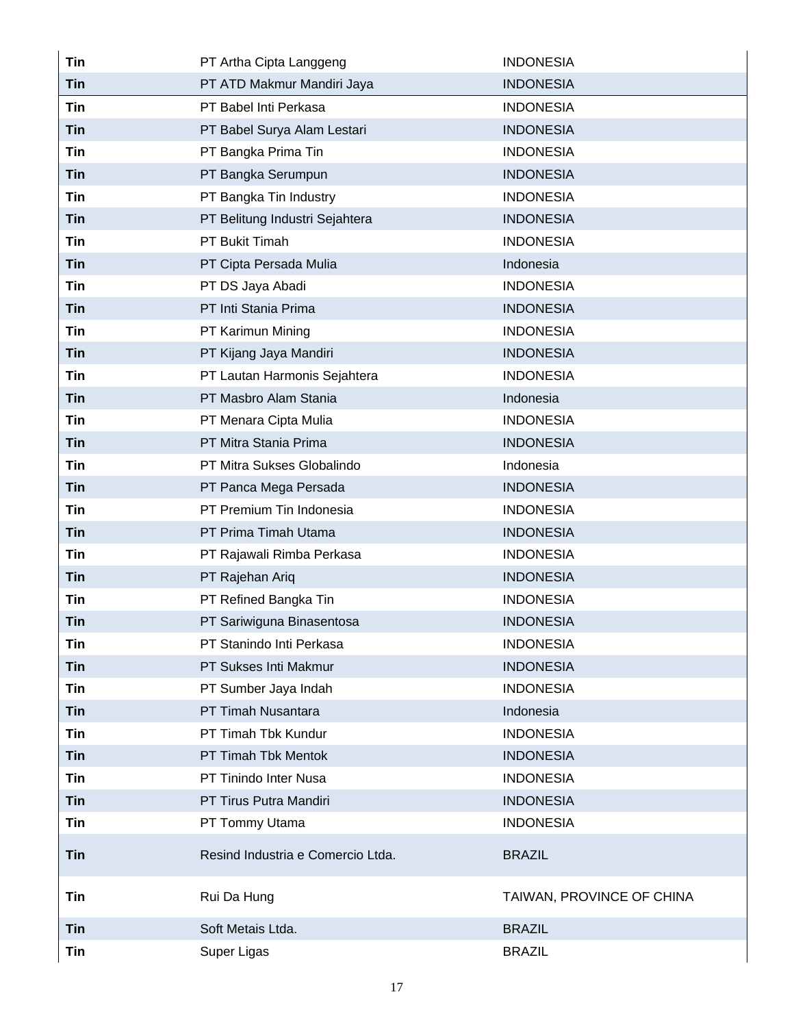| <b>Tin</b> | PT Artha Cipta Langgeng           | <b>INDONESIA</b>          |
|------------|-----------------------------------|---------------------------|
| <b>Tin</b> | PT ATD Makmur Mandiri Jaya        | <b>INDONESIA</b>          |
| Tin        | PT Babel Inti Perkasa             | <b>INDONESIA</b>          |
| Tin        | PT Babel Surya Alam Lestari       | <b>INDONESIA</b>          |
| <b>Tin</b> | PT Bangka Prima Tin               | <b>INDONESIA</b>          |
| <b>Tin</b> | PT Bangka Serumpun                | <b>INDONESIA</b>          |
| <b>Tin</b> | PT Bangka Tin Industry            | <b>INDONESIA</b>          |
| <b>Tin</b> | PT Belitung Industri Sejahtera    | <b>INDONESIA</b>          |
| <b>Tin</b> | PT Bukit Timah                    | <b>INDONESIA</b>          |
| <b>Tin</b> | PT Cipta Persada Mulia            | Indonesia                 |
| Tin        | PT DS Jaya Abadi                  | <b>INDONESIA</b>          |
| <b>Tin</b> | PT Inti Stania Prima              | <b>INDONESIA</b>          |
| <b>Tin</b> | PT Karimun Mining                 | <b>INDONESIA</b>          |
| <b>Tin</b> | PT Kijang Jaya Mandiri            | <b>INDONESIA</b>          |
| Tin        | PT Lautan Harmonis Sejahtera      | <b>INDONESIA</b>          |
| <b>Tin</b> | PT Masbro Alam Stania             | Indonesia                 |
| Tin        | PT Menara Cipta Mulia             | <b>INDONESIA</b>          |
| <b>Tin</b> | PT Mitra Stania Prima             | <b>INDONESIA</b>          |
| Tin        | PT Mitra Sukses Globalindo        | Indonesia                 |
| <b>Tin</b> | PT Panca Mega Persada             | <b>INDONESIA</b>          |
| <b>Tin</b> | PT Premium Tin Indonesia          | <b>INDONESIA</b>          |
| <b>Tin</b> | PT Prima Timah Utama              | <b>INDONESIA</b>          |
| Tin        | PT Rajawali Rimba Perkasa         | <b>INDONESIA</b>          |
| <b>Tin</b> | PT Rajehan Ariq                   | <b>INDONESIA</b>          |
| Tin        | PT Refined Bangka Tin             | <b>INDONESIA</b>          |
| Tin        | PT Sariwiguna Binasentosa         | <b>INDONESIA</b>          |
| <b>Tin</b> | PT Stanindo Inti Perkasa          | <b>INDONESIA</b>          |
| <b>Tin</b> | PT Sukses Inti Makmur             | <b>INDONESIA</b>          |
| <b>Tin</b> | PT Sumber Jaya Indah              | <b>INDONESIA</b>          |
| <b>Tin</b> | PT Timah Nusantara                | Indonesia                 |
| <b>Tin</b> | PT Timah Tbk Kundur               | <b>INDONESIA</b>          |
| <b>Tin</b> | PT Timah Tbk Mentok               | <b>INDONESIA</b>          |
| <b>Tin</b> | PT Tinindo Inter Nusa             | <b>INDONESIA</b>          |
| <b>Tin</b> | PT Tirus Putra Mandiri            | <b>INDONESIA</b>          |
| Tin        | PT Tommy Utama                    | <b>INDONESIA</b>          |
| <b>Tin</b> | Resind Industria e Comercio Ltda. | <b>BRAZIL</b>             |
| Tin        | Rui Da Hung                       | TAIWAN, PROVINCE OF CHINA |
| <b>Tin</b> | Soft Metais Ltda.                 | <b>BRAZIL</b>             |
| Tin        | Super Ligas                       | <b>BRAZIL</b>             |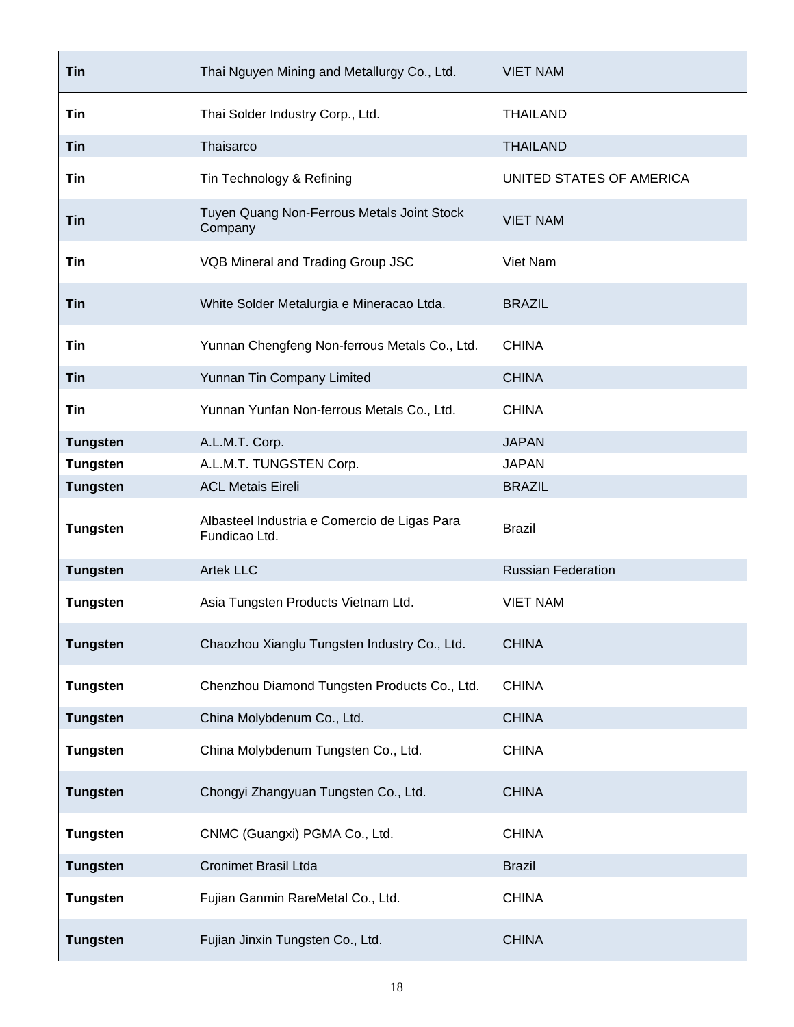| <b>Tin</b>      | Thai Nguyen Mining and Metallurgy Co., Ltd.                   | <b>VIET NAM</b>           |
|-----------------|---------------------------------------------------------------|---------------------------|
| Tin             | Thai Solder Industry Corp., Ltd.                              | <b>THAILAND</b>           |
| <b>Tin</b>      | Thaisarco                                                     | <b>THAILAND</b>           |
| Tin             | Tin Technology & Refining                                     | UNITED STATES OF AMERICA  |
| Tin             | Tuyen Quang Non-Ferrous Metals Joint Stock<br>Company         | <b>VIET NAM</b>           |
| Tin             | VQB Mineral and Trading Group JSC                             | Viet Nam                  |
| Tin             | White Solder Metalurgia e Mineracao Ltda.                     | <b>BRAZIL</b>             |
| Tin             | Yunnan Chengfeng Non-ferrous Metals Co., Ltd.                 | <b>CHINA</b>              |
| <b>Tin</b>      | Yunnan Tin Company Limited                                    | <b>CHINA</b>              |
| Tin             | Yunnan Yunfan Non-ferrous Metals Co., Ltd.                    | <b>CHINA</b>              |
| <b>Tungsten</b> | A.L.M.T. Corp.                                                | <b>JAPAN</b>              |
| <b>Tungsten</b> | A.L.M.T. TUNGSTEN Corp.                                       | <b>JAPAN</b>              |
| <b>Tungsten</b> | <b>ACL Metais Eireli</b>                                      | <b>BRAZIL</b>             |
| <b>Tungsten</b> | Albasteel Industria e Comercio de Ligas Para<br>Fundicao Ltd. | <b>Brazil</b>             |
| <b>Tungsten</b> | <b>Artek LLC</b>                                              | <b>Russian Federation</b> |
| <b>Tungsten</b> | Asia Tungsten Products Vietnam Ltd.                           | <b>VIET NAM</b>           |
| <b>Tungsten</b> | Chaozhou Xianglu Tungsten Industry Co., Ltd.                  | <b>CHINA</b>              |
| <b>Tungsten</b> | Chenzhou Diamond Tungsten Products Co., Ltd.                  | <b>CHINA</b>              |
| <b>Tungsten</b> | China Molybdenum Co., Ltd.                                    | <b>CHINA</b>              |
| <b>Tungsten</b> | China Molybdenum Tungsten Co., Ltd.                           | <b>CHINA</b>              |
| <b>Tungsten</b> | Chongyi Zhangyuan Tungsten Co., Ltd.                          | <b>CHINA</b>              |
| <b>Tungsten</b> | CNMC (Guangxi) PGMA Co., Ltd.                                 | <b>CHINA</b>              |
| <b>Tungsten</b> | <b>Cronimet Brasil Ltda</b>                                   | <b>Brazil</b>             |
| <b>Tungsten</b> | Fujian Ganmin RareMetal Co., Ltd.                             | <b>CHINA</b>              |
| <b>Tungsten</b> | Fujian Jinxin Tungsten Co., Ltd.                              | <b>CHINA</b>              |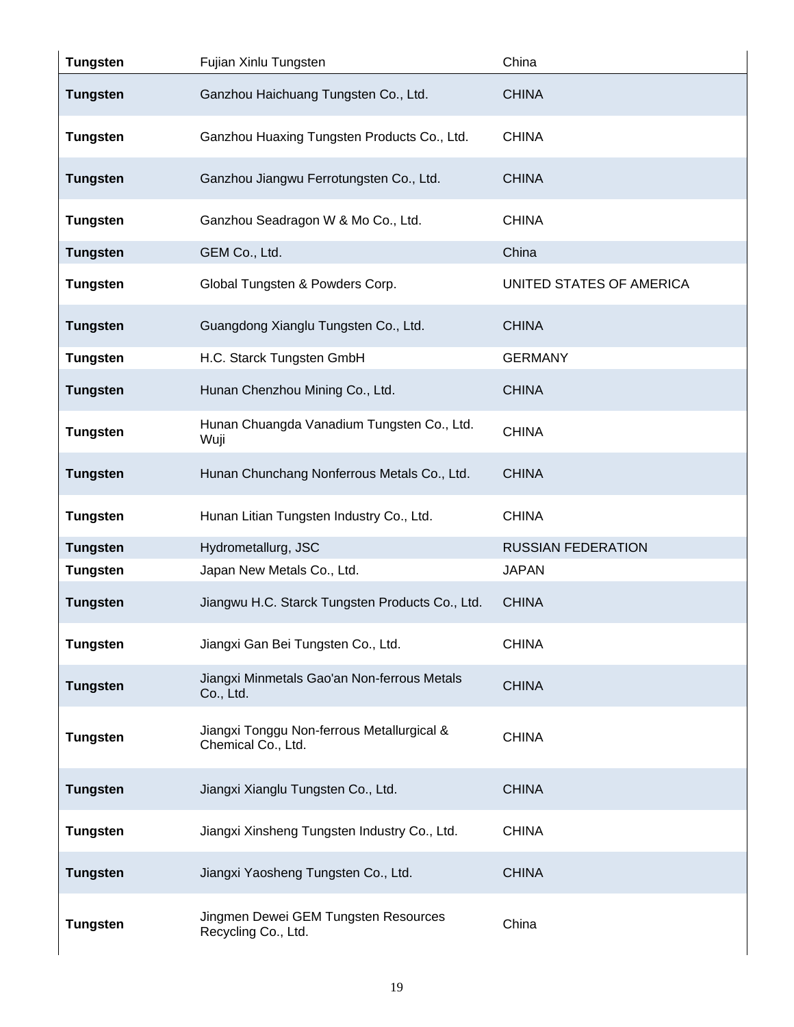| <b>Tungsten</b> | Fujian Xinlu Tungsten                                            | China                     |
|-----------------|------------------------------------------------------------------|---------------------------|
| <b>Tungsten</b> | Ganzhou Haichuang Tungsten Co., Ltd.                             | <b>CHINA</b>              |
| <b>Tungsten</b> | Ganzhou Huaxing Tungsten Products Co., Ltd.                      | <b>CHINA</b>              |
| <b>Tungsten</b> | Ganzhou Jiangwu Ferrotungsten Co., Ltd.                          | <b>CHINA</b>              |
| <b>Tungsten</b> | Ganzhou Seadragon W & Mo Co., Ltd.                               | <b>CHINA</b>              |
| <b>Tungsten</b> | GEM Co., Ltd.                                                    | China                     |
| <b>Tungsten</b> | Global Tungsten & Powders Corp.                                  | UNITED STATES OF AMERICA  |
| <b>Tungsten</b> | Guangdong Xianglu Tungsten Co., Ltd.                             | <b>CHINA</b>              |
| <b>Tungsten</b> | H.C. Starck Tungsten GmbH                                        | <b>GERMANY</b>            |
| <b>Tungsten</b> | Hunan Chenzhou Mining Co., Ltd.                                  | <b>CHINA</b>              |
| <b>Tungsten</b> | Hunan Chuangda Vanadium Tungsten Co., Ltd.<br>Wuji               | <b>CHINA</b>              |
| <b>Tungsten</b> | Hunan Chunchang Nonferrous Metals Co., Ltd.                      | <b>CHINA</b>              |
| <b>Tungsten</b> | Hunan Litian Tungsten Industry Co., Ltd.                         | <b>CHINA</b>              |
| <b>Tungsten</b> | Hydrometallurg, JSC                                              | <b>RUSSIAN FEDERATION</b> |
| <b>Tungsten</b> | Japan New Metals Co., Ltd.                                       | <b>JAPAN</b>              |
| <b>Tungsten</b> | Jiangwu H.C. Starck Tungsten Products Co., Ltd.                  | <b>CHINA</b>              |
| <b>Tungsten</b> | Jiangxi Gan Bei Tungsten Co., Ltd.                               | <b>CHINA</b>              |
| <b>Tungsten</b> | Jiangxi Minmetals Gao'an Non-ferrous Metals<br>Co., Ltd.         | <b>CHINA</b>              |
| <b>Tungsten</b> | Jiangxi Tonggu Non-ferrous Metallurgical &<br>Chemical Co., Ltd. | <b>CHINA</b>              |
| <b>Tungsten</b> | Jiangxi Xianglu Tungsten Co., Ltd.                               | <b>CHINA</b>              |
| <b>Tungsten</b> | Jiangxi Xinsheng Tungsten Industry Co., Ltd.                     | <b>CHINA</b>              |
| <b>Tungsten</b> | Jiangxi Yaosheng Tungsten Co., Ltd.                              | <b>CHINA</b>              |
| <b>Tungsten</b> | Jingmen Dewei GEM Tungsten Resources<br>Recycling Co., Ltd.      | China                     |